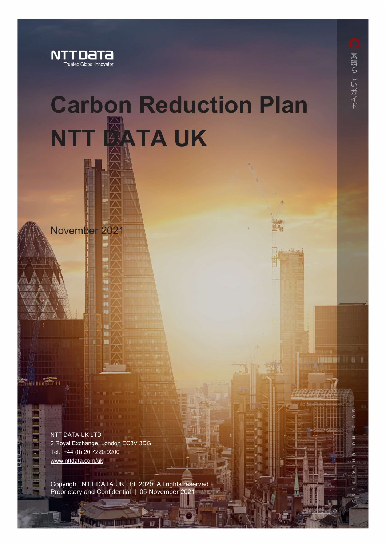

November 2021

# Carbon Reduction Plan NTT **BATA UK**

**Radio Louis Franc** 

l

NTT DATA UK LTD 2 Royal Exchange, London EC3V 3DG Tel.: +44 (0) 20 7220 9200 www.nttdata.com/uk

Copyright NTT DATA UK Ltd 2020 All rights reserved Proprietary and Confidential | 05 November 2021

**HERITE** III III II

 $\sigma$  $\subset$  $\overline{a}$  $\overline{z}$ ၐ G  $\overline{u}$ п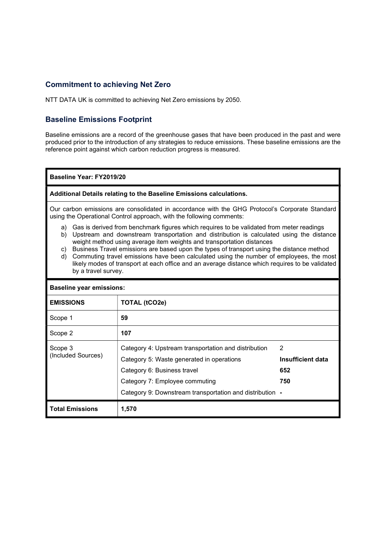#### Commitment to achieving Net Zero

NTT DATA UK is committed to achieving Net Zero emissions by 2050.

### Baseline Emissions Footprint

Baseline emissions are a record of the greenhouse gases that have been produced in the past and were produced prior to the introduction of any strategies to reduce emissions. These baseline emissions are the reference point against which carbon reduction progress is measured.

Baseline Year: FY2019/20

#### Additional Details relating to the Baseline Emissions calculations.

Our carbon emissions are consolidated in accordance with the GHG Protocol's Corporate Standard using the Operational Control approach, with the following comments:

- a) Gas is derived from benchmark figures which requires to be validated from meter readings
- b) Upstream and downstream transportation and distribution is calculated using the distance weight method using average item weights and transportation distances
- c) Business Travel emissions are based upon the types of transport using the distance method
- d) Commuting travel emissions have been calculated using the number of employees, the most likely modes of transport at each office and an average distance which requires to be validated by a travel survey.

| <b>Baseline year emissions:</b> |                                                                                                                                                                                                                                |                                      |  |
|---------------------------------|--------------------------------------------------------------------------------------------------------------------------------------------------------------------------------------------------------------------------------|--------------------------------------|--|
| <b>EMISSIONS</b>                | TOTAL (tCO2e)                                                                                                                                                                                                                  |                                      |  |
| Scope 1                         | 59                                                                                                                                                                                                                             |                                      |  |
| Scope 2                         | 107                                                                                                                                                                                                                            |                                      |  |
| Scope 3<br>(Included Sources)   | Category 4: Upstream transportation and distribution<br>Category 5: Waste generated in operations<br>Category 6: Business travel<br>Category 7: Employee commuting<br>Category 9: Downstream transportation and distribution - | 2<br>Insufficient data<br>652<br>750 |  |
| <b>Total Emissions</b>          | 1,570                                                                                                                                                                                                                          |                                      |  |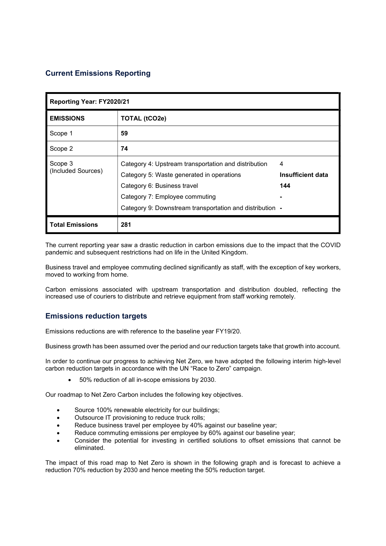## Current Emissions Reporting

| Reporting Year: FY2020/21     |                                                                                                                                                                                                                                |                                      |  |
|-------------------------------|--------------------------------------------------------------------------------------------------------------------------------------------------------------------------------------------------------------------------------|--------------------------------------|--|
| <b>EMISSIONS</b>              | TOTAL (tCO2e)                                                                                                                                                                                                                  |                                      |  |
| Scope 1                       | 59                                                                                                                                                                                                                             |                                      |  |
| Scope 2                       | 74                                                                                                                                                                                                                             |                                      |  |
| Scope 3<br>(Included Sources) | Category 4: Upstream transportation and distribution<br>Category 5: Waste generated in operations<br>Category 6: Business travel<br>Category 7: Employee commuting<br>Category 9: Downstream transportation and distribution - | 4<br><b>Insufficient data</b><br>144 |  |
| <b>Total Emissions</b>        | 281                                                                                                                                                                                                                            |                                      |  |

The current reporting year saw a drastic reduction in carbon emissions due to the impact that the COVID pandemic and subsequent restrictions had on life in the United Kingdom.

Business travel and employee commuting declined significantly as staff, with the exception of key workers, moved to working from home.

Carbon emissions associated with upstream transportation and distribution doubled, reflecting the increased use of couriers to distribute and retrieve equipment from staff working remotely.

#### Emissions reduction targets

Emissions reductions are with reference to the baseline year FY19/20.

Business growth has been assumed over the period and our reduction targets take that growth into account.

In order to continue our progress to achieving Net Zero, we have adopted the following interim high-level carbon reduction targets in accordance with the UN "Race to Zero" campaign.

50% reduction of all in-scope emissions by 2030.

Our roadmap to Net Zero Carbon includes the following key objectives.

- Source 100% renewable electricity for our buildings;
- Outsource IT provisioning to reduce truck rolls;
- Reduce business travel per employee by 40% against our baseline year;
- Reduce commuting emissions per employee by 60% against our baseline year;
- Consider the potential for investing in certified solutions to offset emissions that cannot be eliminated.

The impact of this road map to Net Zero is shown in the following graph and is forecast to achieve a reduction 70% reduction by 2030 and hence meeting the 50% reduction target.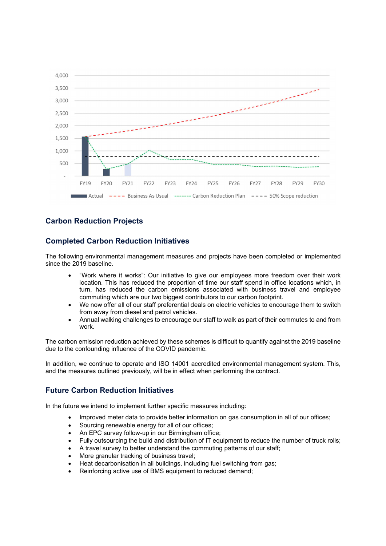

### Carbon Reduction Projects

### Completed Carbon Reduction Initiatives

The following environmental management measures and projects have been completed or implemented since the 2019 baseline.

- "Work where it works": Our initiative to give our employees more freedom over their work location. This has reduced the proportion of time our staff spend in office locations which, in turn, has reduced the carbon emissions associated with business travel and employee commuting which are our two biggest contributors to our carbon footprint.
- We now offer all of our staff preferential deals on electric vehicles to encourage them to switch from away from diesel and petrol vehicles.
- Annual walking challenges to encourage our staff to walk as part of their commutes to and from work.

The carbon emission reduction achieved by these schemes is difficult to quantify against the 2019 baseline due to the confounding influence of the COVID pandemic.

In addition, we continue to operate and ISO 14001 accredited environmental management system. This, and the measures outlined previously, will be in effect when performing the contract.

#### Future Carbon Reduction Initiatives

In the future we intend to implement further specific measures including:

- Improved meter data to provide better information on gas consumption in all of our offices;
- Sourcing renewable energy for all of our offices;
- An EPC survey follow-up in our Birmingham office;
- Fully outsourcing the build and distribution of IT equipment to reduce the number of truck rolls;
- A travel survey to better understand the commuting patterns of our staff;
- More granular tracking of business travel;
- Heat decarbonisation in all buildings, including fuel switching from gas;
- Reinforcing active use of BMS equipment to reduced demand;